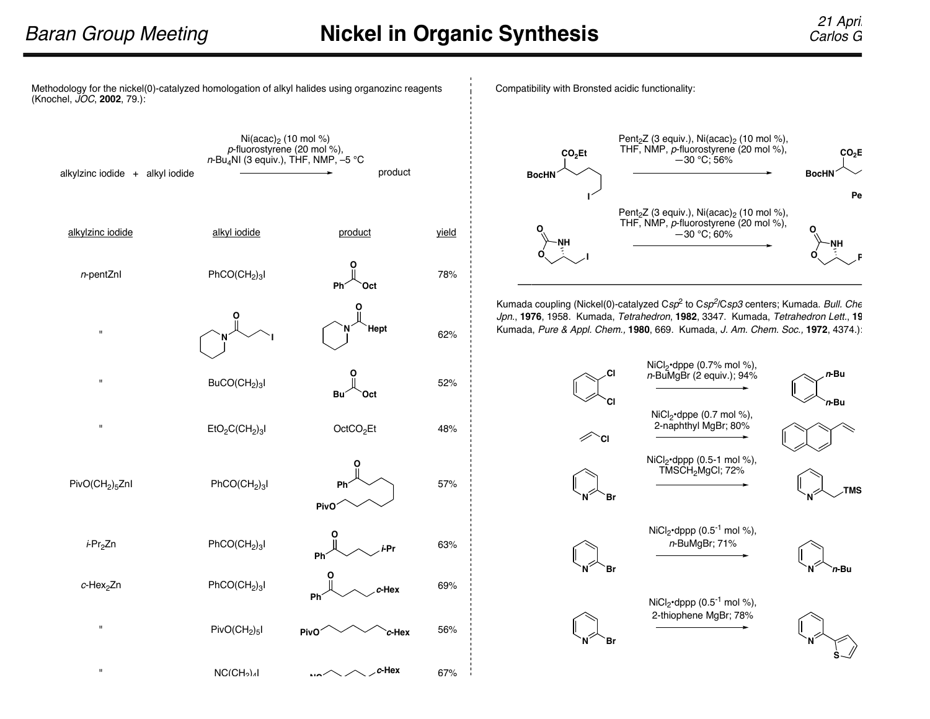Methodology for the nickel(0)-catalyzed homologation of alkyl halides using organozinc reagents (Knochel, JOC, **2002**, 79.):



Compatibility with Bronsted acidic functionality:



Kumada coupling (Nickel(0)-catalyzed  $Csp^2$  to  $Csp^2/Csp3$  centers; Kumada. Bull. Che Jpn., 1976, 1958. Kumada, Tetrahedron, 1982, 3347. Kumada, Tetrahedron Lett., 19 Kumada, Pure & Appl. Chem., **1980**, 669. Kumada, J. Am. Chem. Soc., **1972**, 4374.):

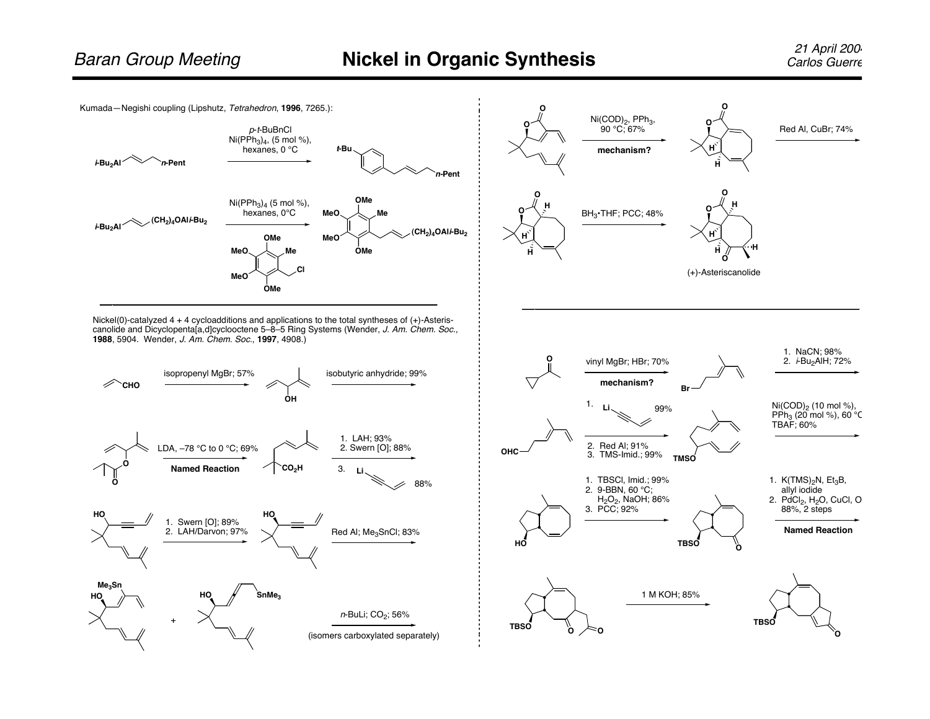

Nickel(0)-catalyzed 4 + 4 cycloadditions and applications to the total syntheses of (+)-Asteriscanolide and Dicyclopenta[a,d]cyclooctene 5–8–5 Ring Systems (Wender, J. Am. Chem. Soc., **1988**, 5904. Wender, J. Am. Chem. Soc., **1997**, 4908.)



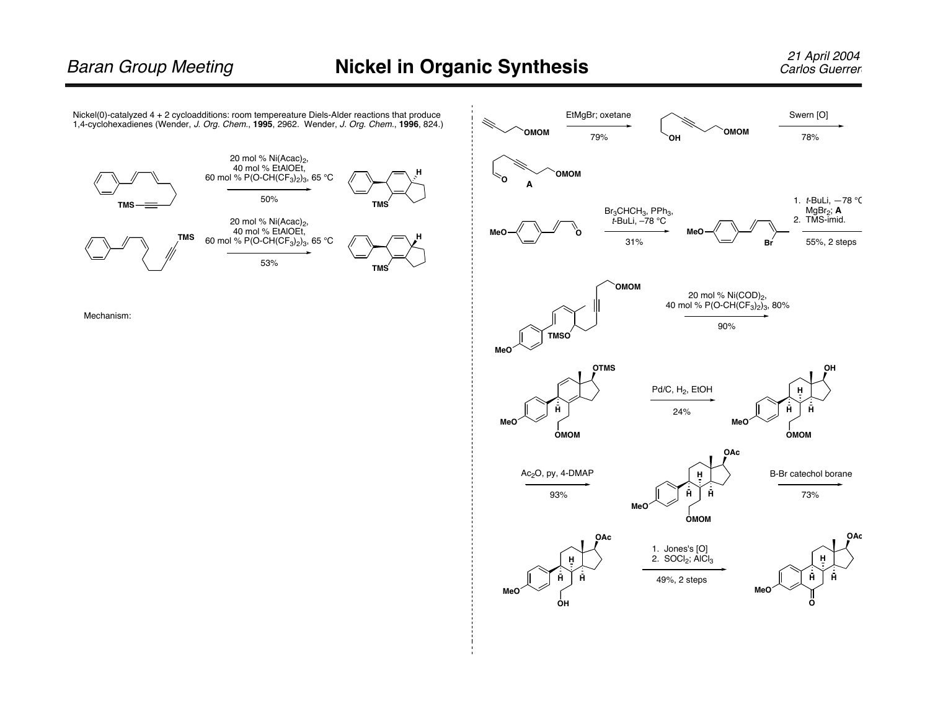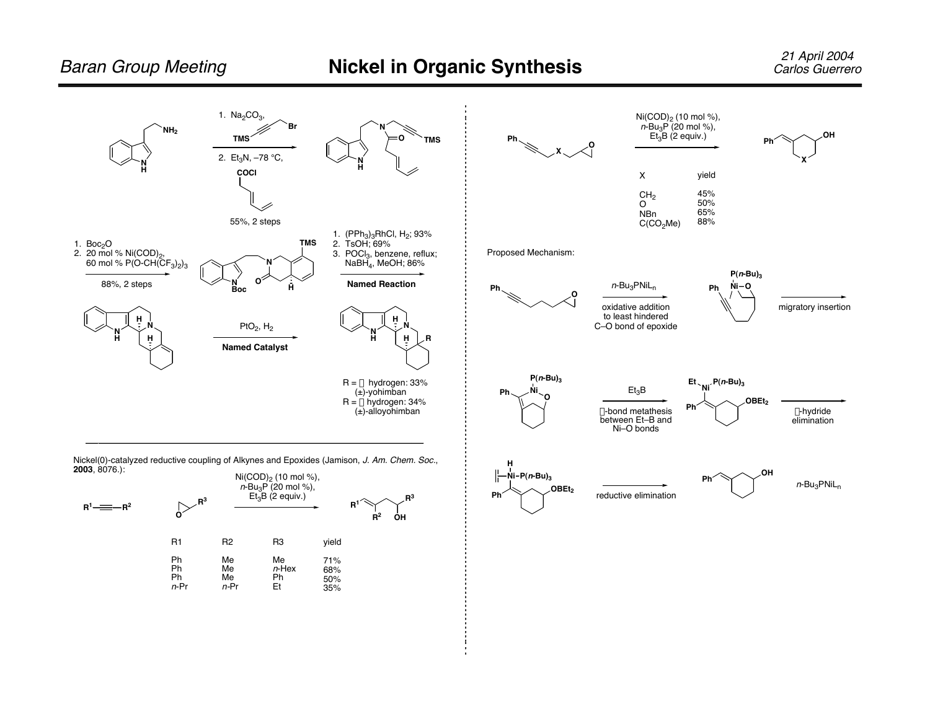R1 Ph Ph Ph <sup>n</sup>-Pr R2 Me Me Me n-Pr R3 Me  $n$ -Hex Ph Et

yield 71% 68% 50% 35%

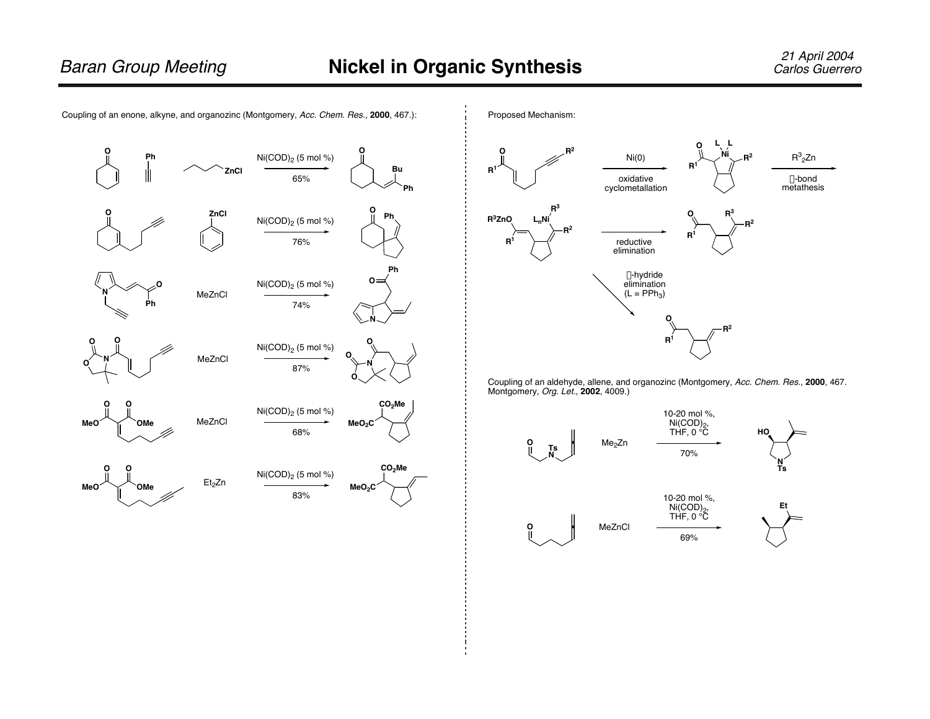

Coupling of an enone, alkyne, and organozinc (Montgomery, Acc. Chem. Res., **2000**, 467.):



Coupling of an aldehyde, allene, and organozinc (Montgomery, Acc. Chem. Res., **2000**, 467. Montgomery, Org. Let., **2002**, 4009.)

![](_page_4_Figure_7.jpeg)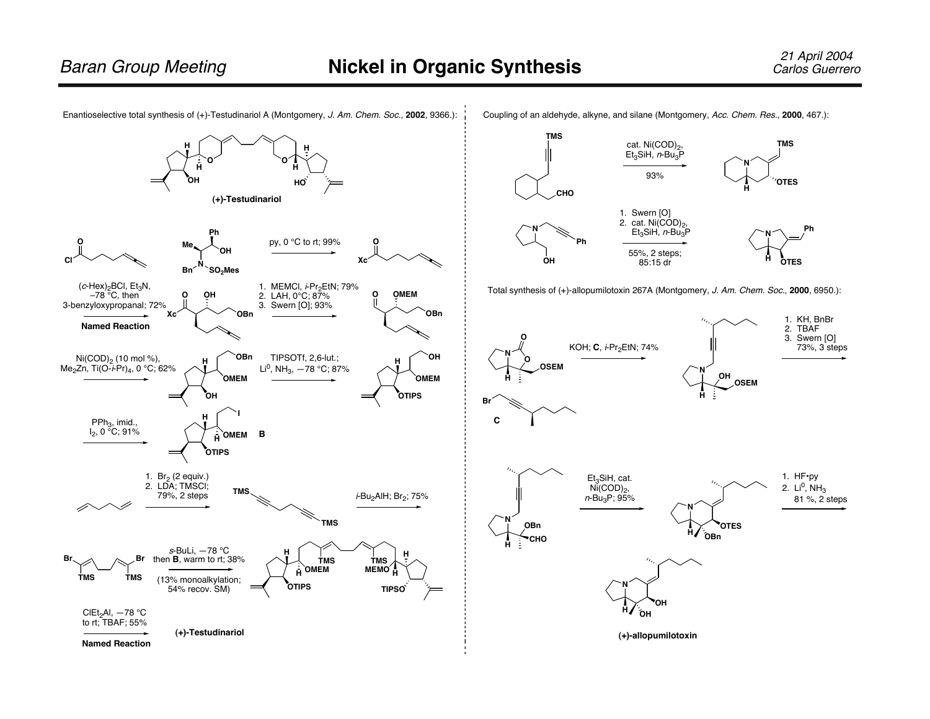**N**

**TMS**

![](_page_5_Figure_3.jpeg)

Coupling of an aldehyde, alkyne, and silane (Montgomery, Acc. Chem. Res., **2000**, 467.):

cat. Ni(COD)<sub>2</sub>, Et<sub>3</sub>SiH, *n*-Bu<sub>3</sub>P

**TMS**

**<sup>H</sup> CHO**

![](_page_5_Figure_5.jpeg)

**(+)-allopumilotoxin**

**OH OH**

**N**

**H**

**H**

**OBn**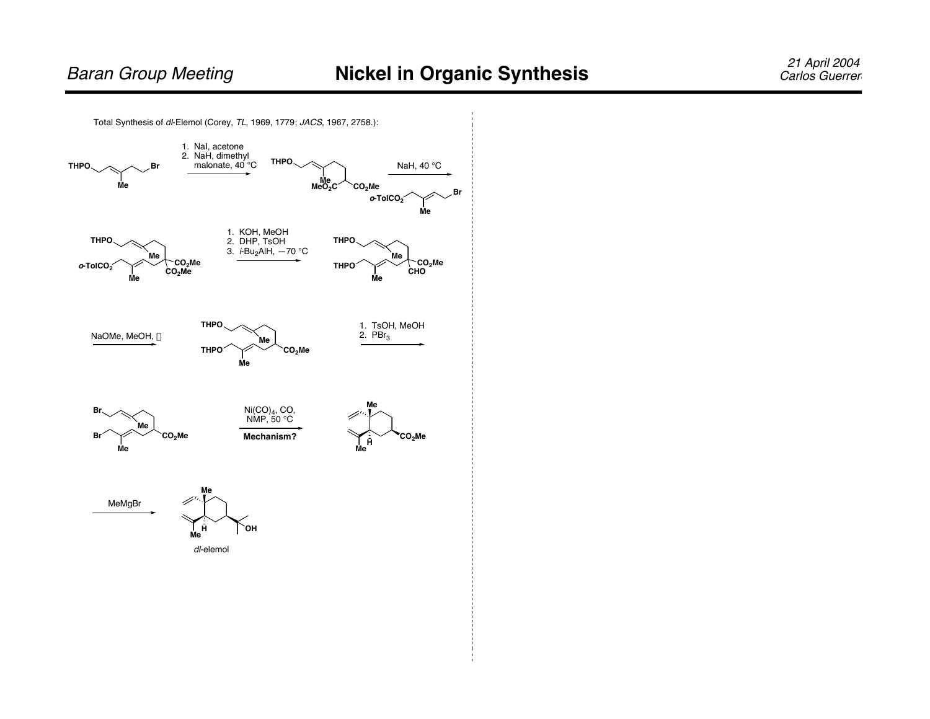![](_page_6_Figure_2.jpeg)